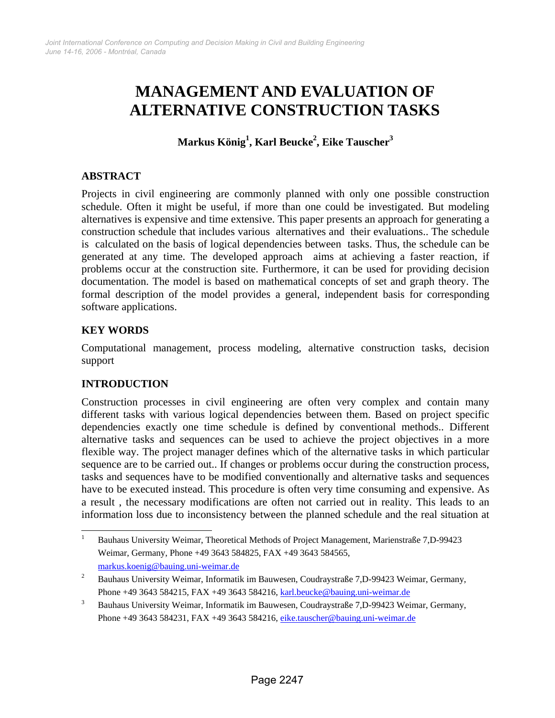# **MANAGEMENT AND EVALUATION OF ALTERNATIVE CONSTRUCTION TASKS**

**Markus König1 , Karl Beucke2 , Eike Tauscher3**

## **ABSTRACT**

Projects in civil engineering are commonly planned with only one possible construction schedule. Often it might be useful, if more than one could be investigated. But modeling alternatives is expensive and time extensive. This paper presents an approach for generating a construction schedule that includes various alternatives and their evaluations.. The schedule is calculated on the basis of logical dependencies between tasks. Thus, the schedule can be generated at any time. The developed approach aims at achieving a faster reaction, if problems occur at the construction site. Furthermore, it can be used for providing decision documentation. The model is based on mathematical concepts of set and graph theory. The formal description of the model provides a general, independent basis for corresponding software applications.

### **KEY WORDS**

Computational management, process modeling, alternative construction tasks, decision support

## **INTRODUCTION**

Construction processes in civil engineering are often very complex and contain many different tasks with various logical dependencies between them. Based on project specific dependencies exactly one time schedule is defined by conventional methods.. Different alternative tasks and sequences can be used to achieve the project objectives in a more flexible way. The project manager defines which of the alternative tasks in which particular sequence are to be carried out.. If changes or problems occur during the construction process, tasks and sequences have to be modified conventionally and alternative tasks and sequences have to be executed instead. This procedure is often very time consuming and expensive. As a result , the necessary modifications are often not carried out in reality. This leads to an information loss due to inconsistency between the planned schedule and the real situation at

<sup>|&</sup>lt;br>|<br>| Bauhaus University Weimar, Theoretical Methods of Project Management, Marienstraße 7,D-99423 Weimar, Germany, Phone +49 3643 584825, FAX +49 3643 584565, markus.koenig@bauing.uni-weimar.de

<sup>2</sup> Bauhaus University Weimar, Informatik im Bauwesen, Coudraystraße 7,D-99423 Weimar, Germany, Phone +49 3643 584215, FAX +49 3643 584216, karl.beucke@bauing.uni-weimar.de

<sup>3</sup> Bauhaus University Weimar, Informatik im Bauwesen, Coudraystraße 7,D-99423 Weimar, Germany, Phone +49 3643 584231, FAX +49 3643 584216, eike.tauscher@bauing.uni-weimar.de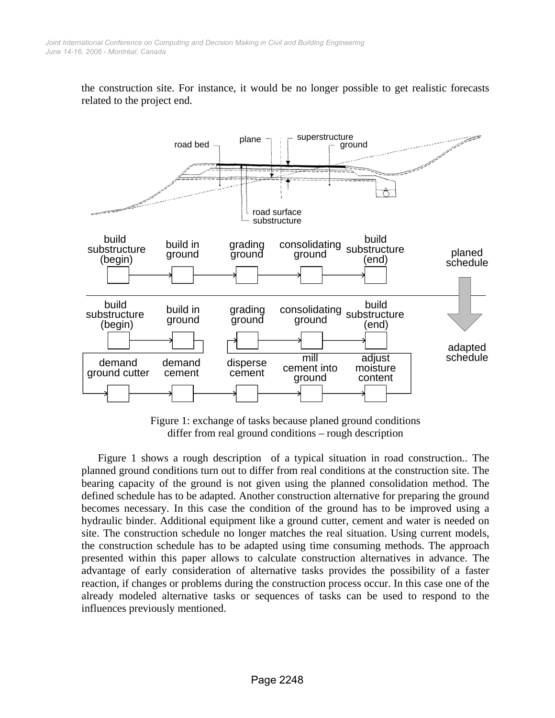the construction site. For instance, it would be no longer possible to get realistic forecasts related to the project end.



Figure 1: exchange of tasks because planed ground conditions differ from real ground conditions – rough description

Figure 1 shows a rough description of a typical situation in road construction.. The planned ground conditions turn out to differ from real conditions at the construction site. The bearing capacity of the ground is not given using the planned consolidation method. The defined schedule has to be adapted. Another construction alternative for preparing the ground becomes necessary. In this case the condition of the ground has to be improved using a hydraulic binder. Additional equipment like a ground cutter, cement and water is needed on site. The construction schedule no longer matches the real situation. Using current models, the construction schedule has to be adapted using time consuming methods. The approach presented within this paper allows to calculate construction alternatives in advance. The advantage of early consideration of alternative tasks provides the possibility of a faster reaction, if changes or problems during the construction process occur. In this case one of the already modeled alternative tasks or sequences of tasks can be used to respond to the influences previously mentioned.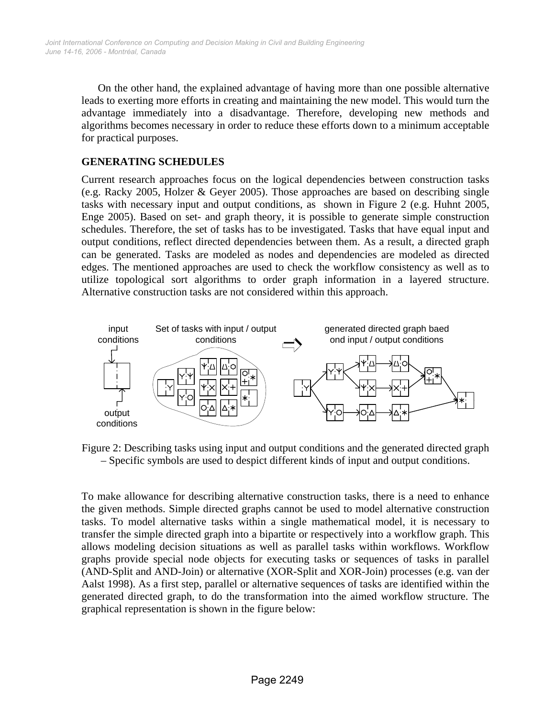On the other hand, the explained advantage of having more than one possible alternative leads to exerting more efforts in creating and maintaining the new model. This would turn the advantage immediately into a disadvantage. Therefore, developing new methods and algorithms becomes necessary in order to reduce these efforts down to a minimum acceptable for practical purposes.

#### **GENERATING SCHEDULES**

Current research approaches focus on the logical dependencies between construction tasks (e.g. Racky 2005, Holzer & Geyer 2005). Those approaches are based on describing single tasks with necessary input and output conditions, as shown in Figure 2 (e.g. Huhnt 2005, Enge 2005). Based on set- and graph theory, it is possible to generate simple construction schedules. Therefore, the set of tasks has to be investigated. Tasks that have equal input and output conditions, reflect directed dependencies between them. As a result, a directed graph can be generated. Tasks are modeled as nodes and dependencies are modeled as directed edges. The mentioned approaches are used to check the workflow consistency as well as to utilize topological sort algorithms to order graph information in a layered structure. Alternative construction tasks are not considered within this approach.



Figure 2: Describing tasks using input and output conditions and the generated directed graph – Specific symbols are used to despict different kinds of input and output conditions.

To make allowance for describing alternative construction tasks, there is a need to enhance the given methods. Simple directed graphs cannot be used to model alternative construction tasks. To model alternative tasks within a single mathematical model, it is necessary to transfer the simple directed graph into a bipartite or respectively into a workflow graph. This allows modeling decision situations as well as parallel tasks within workflows. Workflow graphs provide special node objects for executing tasks or sequences of tasks in parallel (AND-Split and AND-Join) or alternative (XOR-Split and XOR-Join) processes (e.g. van der Aalst 1998). As a first step, parallel or alternative sequences of tasks are identified within the generated directed graph, to do the transformation into the aimed workflow structure. The graphical representation is shown in the figure below: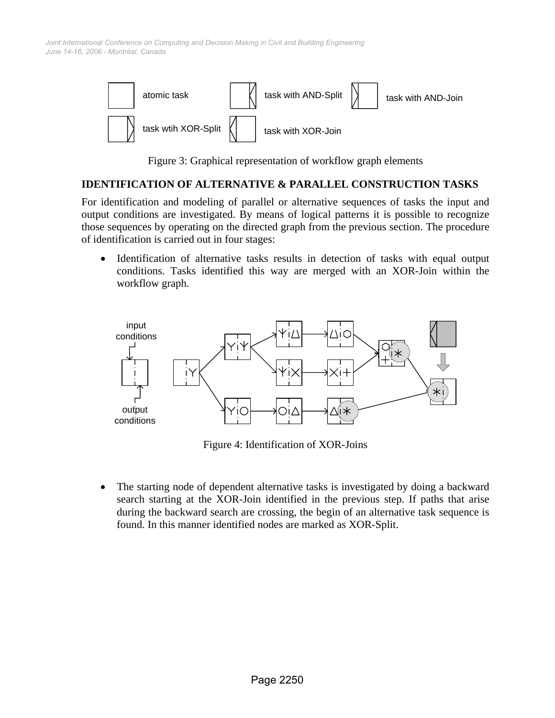*June 14-16, 2006 - Montréal, Canada Joint International Conference on Computing and Decision Making in Civil and Building Engineering*



Figure 3: Graphical representation of workflow graph elements

#### **IDENTIFICATION OF ALTERNATIVE & PARALLEL CONSTRUCTION TASKS**

For identification and modeling of parallel or alternative sequences of tasks the input and output conditions are investigated. By means of logical patterns it is possible to recognize those sequences by operating on the directed graph from the previous section. The procedure of identification is carried out in four stages:

Identification of alternative tasks results in detection of tasks with equal output conditions. Tasks identified this way are merged with an XOR-Join within the workflow graph.



Figure 4: Identification of XOR-Joins

• The starting node of dependent alternative tasks is investigated by doing a backward search starting at the XOR-Join identified in the previous step. If paths that arise during the backward search are crossing, the begin of an alternative task sequence is found. In this manner identified nodes are marked as XOR-Split.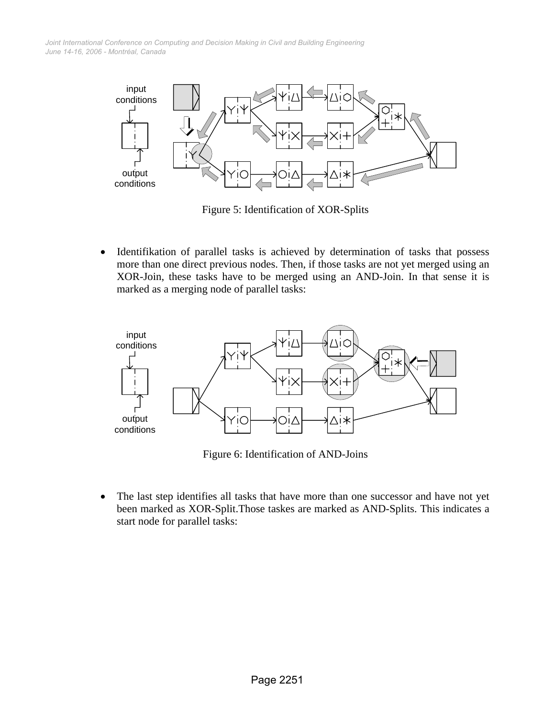*June 14-16, 2006 - Montréal, Canada Joint International Conference on Computing and Decision Making in Civil and Building Engineering*



Figure 5: Identification of XOR-Splits

• Identifikation of parallel tasks is achieved by determination of tasks that possess more than one direct previous nodes. Then, if those tasks are not yet merged using an XOR-Join, these tasks have to be merged using an AND-Join. In that sense it is marked as a merging node of parallel tasks:



Figure 6: Identification of AND-Joins

• The last step identifies all tasks that have more than one successor and have not yet been marked as XOR-Split.Those taskes are marked as AND-Splits. This indicates a start node for parallel tasks: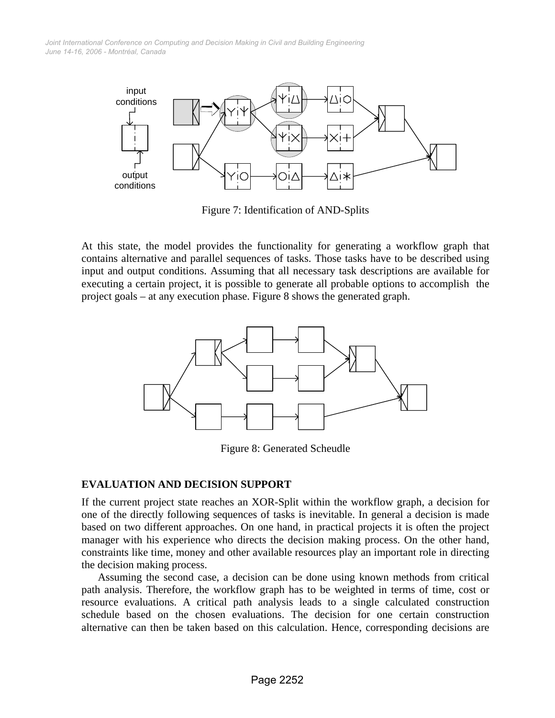*June 14-16, 2006 - Montréal, Canada Joint International Conference on Computing and Decision Making in Civil and Building Engineering*



Figure 7: Identification of AND-Splits

At this state, the model provides the functionality for generating a workflow graph that contains alternative and parallel sequences of tasks. Those tasks have to be described using input and output conditions. Assuming that all necessary task descriptions are available for executing a certain project, it is possible to generate all probable options to accomplish the project goals – at any execution phase. Figure 8 shows the generated graph.



Figure 8: Generated Scheudle

#### **EVALUATION AND DECISION SUPPORT**

If the current project state reaches an XOR-Split within the workflow graph, a decision for one of the directly following sequences of tasks is inevitable. In general a decision is made based on two different approaches. On one hand, in practical projects it is often the project manager with his experience who directs the decision making process. On the other hand, constraints like time, money and other available resources play an important role in directing the decision making process.

Assuming the second case, a decision can be done using known methods from critical path analysis. Therefore, the workflow graph has to be weighted in terms of time, cost or resource evaluations. A critical path analysis leads to a single calculated construction schedule based on the chosen evaluations. The decision for one certain construction alternative can then be taken based on this calculation. Hence, corresponding decisions are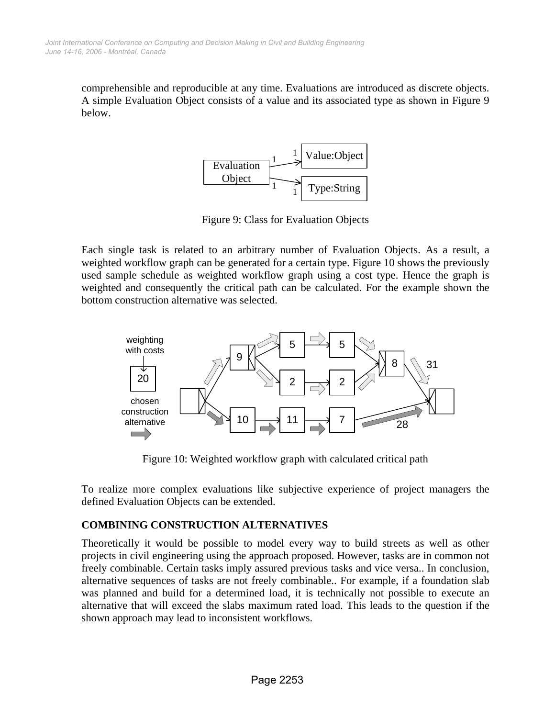comprehensible and reproducible at any time. Evaluations are introduced as discrete objects. A simple Evaluation Object consists of a value and its associated type as shown in Figure 9 below.



Figure 9: Class for Evaluation Objects

Each single task is related to an arbitrary number of Evaluation Objects. As a result, a weighted workflow graph can be generated for a certain type. Figure 10 shows the previously used sample schedule as weighted workflow graph using a cost type. Hence the graph is weighted and consequently the critical path can be calculated. For the example shown the bottom construction alternative was selected.



Figure 10: Weighted workflow graph with calculated critical path

To realize more complex evaluations like subjective experience of project managers the defined Evaluation Objects can be extended.

## **COMBINING CONSTRUCTION ALTERNATIVES**

Theoretically it would be possible to model every way to build streets as well as other projects in civil engineering using the approach proposed. However, tasks are in common not freely combinable. Certain tasks imply assured previous tasks and vice versa.. In conclusion, alternative sequences of tasks are not freely combinable.. For example, if a foundation slab was planned and build for a determined load, it is technically not possible to execute an alternative that will exceed the slabs maximum rated load. This leads to the question if the shown approach may lead to inconsistent workflows.